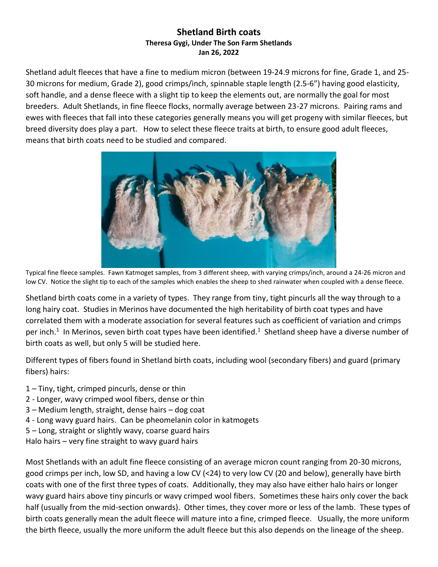## **Shetland Birth coats Theresa Gygi, Under The Son Farm Shetlands Jan 26, 2022**

Shetland adult fleeces that have a fine to medium micron (between 19-24.9 microns for fine, Grade 1, and 25- 30 microns for medium, Grade 2), good crimps/inch, spinnable staple length (2.5-6") having good elasticity, soft handle, and a dense fleece with a slight tip to keep the elements out, are normally the goal for most breeders. Adult Shetlands, in fine fleece flocks, normally average between 23-27 microns. Pairing rams and ewes with fleeces that fall into these categories generally means you will get progeny with similar fleeces, but breed diversity does play a part. How to select these fleece traits at birth, to ensure good adult fleeces, means that birth coats need to be studied and compared.



Typical fine fleece samples. Fawn Katmoget samples, from 3 different sheep, with varying crimps/inch, around a 24-26 micron and low CV. Notice the slight tip to each of the samples which enables the sheep to shed rainwater when coupled with a dense fleece.

Shetland birth coats come in a variety of types. They range from tiny, tight pincurls all the way through to a long hairy coat. Studies in Merinos have documented the high heritability of birth coat types and have correlated them with a moderate association for several features such as coefficient of variation and crimps per inch.<sup>1</sup> In Merinos, seven birth coat types have been identified.<sup>1</sup> Shetland sheep have a diverse number of birth coats as well, but only 5 will be studied here.

Different types of fibers found in Shetland birth coats, including wool (secondary fibers) and guard (primary fibers) hairs:

- 1 Tiny, tight, crimped pincurls, dense or thin
- 2 Longer, wavy crimped wool fibers, dense or thin
- 3 Medium length, straight, dense hairs dog coat
- 4 Long wavy guard hairs. Can be pheomelanin color in katmogets
- 5 Long, straight or slightly wavy, coarse guard hairs

Halo hairs – very fine straight to wavy guard hairs

Most Shetlands with an adult fine fleece consisting of an average micron count ranging from 20-30 microns, good crimps per inch, low SD, and having a low CV (<24) to very low CV (20 and below), generally have birth coats with one of the first three types of coats. Additionally, they may also have either halo hairs or longer wavy guard hairs above tiny pincurls or wavy crimped wool fibers. Sometimes these hairs only cover the back half (usually from the mid-section onwards). Other times, they cover more or less of the lamb. These types of birth coats generally mean the adult fleece will mature into a fine, crimped fleece. Usually, the more uniform the birth fleece, usually the more uniform the adult fleece but this also depends on the lineage of the sheep.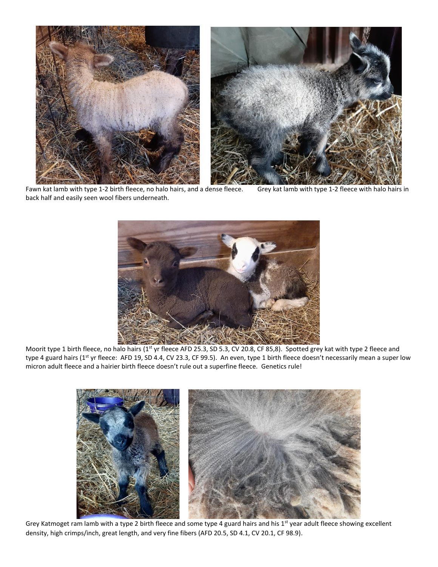

Fawn kat lamb with type 1-2 birth fleece, no halo hairs, and a dense fleece. Grey kat lamb with type 1-2 fleece with halo hairs in back half and easily seen wool fibers underneath.



Moorit type 1 birth fleece, no halo hairs (1<sup>st</sup> yr fleece AFD 25.3, SD 5.3, CV 20.8, CF 85,8). Spotted grey kat with type 2 fleece and type 4 guard hairs (1<sup>st</sup> yr fleece: AFD 19, SD 4.4, CV 23.3, CF 99.5). An even, type 1 birth fleece doesn't necessarily mean a super low micron adult fleece and a hairier birth fleece doesn't rule out a superfine fleece. Genetics rule!



Grey Katmoget ram lamb with a type 2 birth fleece and some type 4 guard hairs and his 1<sup>st</sup> year adult fleece showing excellent density, high crimps/inch, great length, and very fine fibers (AFD 20.5, SD 4.1, CV 20.1, CF 98.9).